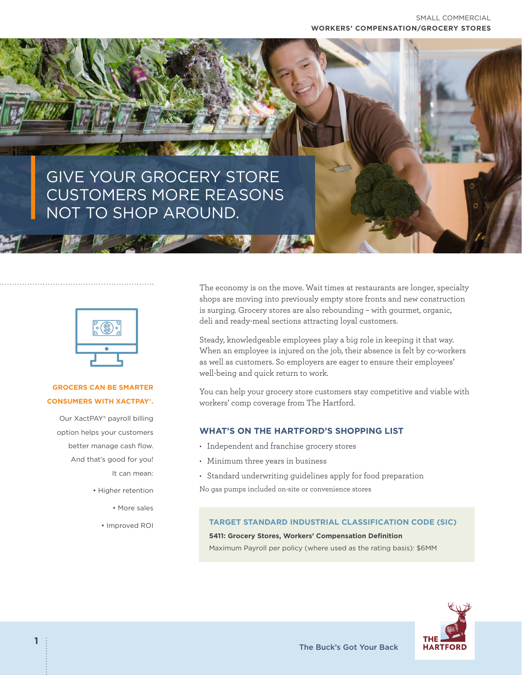# GIVE YOUR GROCERY STORE CUSTOMERS MORE REASONS NOT TO SHOP AROUND.



## **GROCERS CAN BE SMARTER CONSUMERS WITH XACTPAY®.**

Our XactPAY® payroll billing option helps your customers better manage cash flow. And that's good for you! It can mean:

- Higher retention
	- More sales
	- Improved ROI

The economy is on the move. Wait times at restaurants are longer, specialty shops are moving into previously empty store fronts and new construction is surging. Grocery stores are also rebounding – with gourmet, organic, deli and ready-meal sections attracting loyal customers.

Steady, knowledgeable employees play a big role in keeping it that way. When an employee is injured on the job, their absence is felt by co-workers as well as customers. So employers are eager to ensure their employees' well-being and quick return to work.

You can help your grocery store customers stay competitive and viable with workers' comp coverage from The Hartford.

## **WHAT'S ON THE HARTFORD'S SHOPPING LIST**

- Independent and franchise grocery stores
- Minimum three years in business
- Standard underwriting guidelines apply for food preparation

No gas pumps included on-site or convenience stores

#### **TARGET STANDARD INDUSTRIAL CLASSIFICATION CODE (SIC)**

**5411: Grocery Stores, Workers' Compensation Definition** 

Maximum Payroll per policy (where used as the rating basis): \$6MM